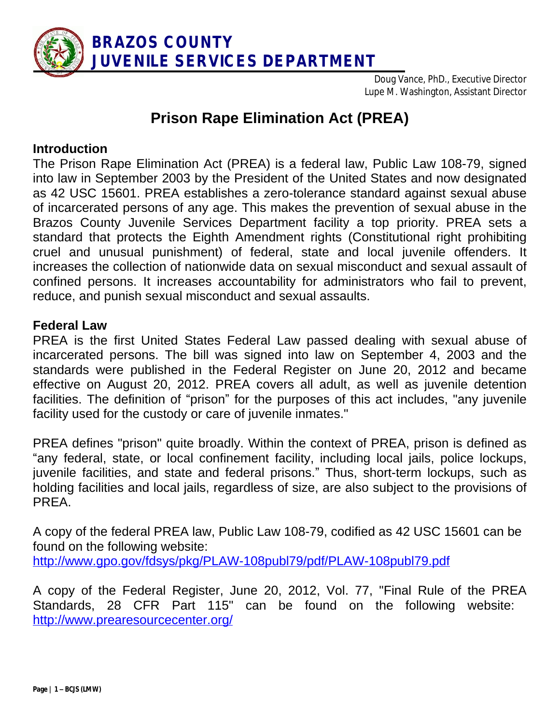

Doug Vance, PhD., Executive Director Lupe M. Washington, Assistant Director

# **Prison Rape Elimination Act (PREA)**

# **Introduction**

The Prison Rape Elimination Act (PREA) is a federal law, Public Law 108-79, signed into law in September 2003 by the President of the United States and now designated as 42 USC 15601. PREA establishes a zero-tolerance standard against sexual abuse of incarcerated persons of any age. This makes the prevention of sexual abuse in the Brazos County Juvenile Services Department facility a top priority. PREA sets a standard that protects the Eighth Amendment rights (Constitutional right prohibiting cruel and unusual punishment) of federal, state and local juvenile offenders. It increases the collection of nationwide data on sexual misconduct and sexual assault of confined persons. It increases accountability for administrators who fail to prevent, reduce, and punish sexual misconduct and sexual assaults.

#### **Federal Law**

PREA is the first United States Federal Law passed dealing with sexual abuse of incarcerated persons. The bill was signed into law on September 4, 2003 and the standards were published in the Federal Register on June 20, 2012 and became effective on August 20, 2012. PREA covers all adult, as well as juvenile detention facilities. The definition of "prison" for the purposes of this act includes, "any juvenile facility used for the custody or care of juvenile inmates."

PREA defines "prison" quite broadly. Within the context of PREA, prison is defined as "any federal, state, or local confinement facility, including local jails, police lockups, juvenile facilities, and state and federal prisons." Thus, short-term lockups, such as holding facilities and local jails, regardless of size, are also subject to the provisions of PREA.

A copy of the federal PREA law, Public Law 108-79, codified as 42 USC 15601 can be found on the following website: <http://www.gpo.gov/fdsys/pkg/PLAW-108publ79/pdf/PLAW-108publ79.pdf>

A copy of the Federal Register, June 20, 2012, Vol. 77, "Final Rule of the PREA Standards, 28 CFR Part 115" can be found on the following website: <http://www.prearesourcecenter.org/>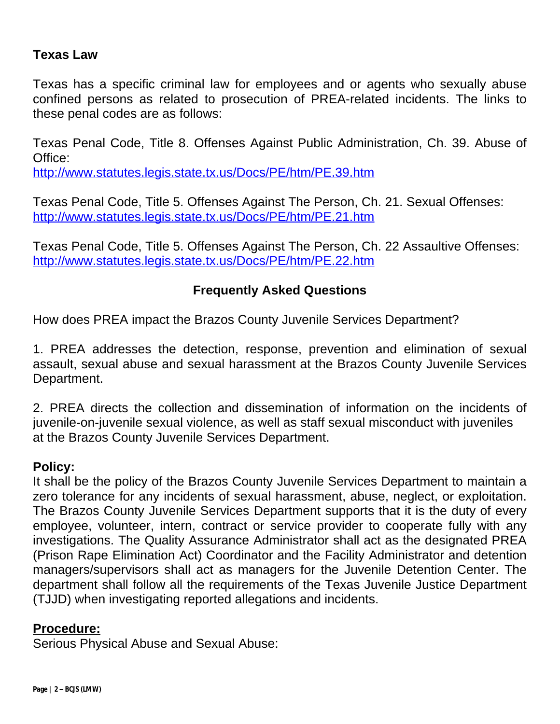# **Texas Law**

Texas has a specific criminal law for employees and or agents who sexually abuse confined persons as related to prosecution of PREA-related incidents. The links to these penal codes are as follows:

Texas Penal Code, Title 8. Offenses Against Public Administration, Ch. 39. Abuse of Office:

<http://www.statutes.legis.state.tx.us/Docs/PE/htm/PE.39.htm>

Texas Penal Code, Title 5. Offenses Against The Person, Ch. 21. Sexual Offenses: <http://www.statutes.legis.state.tx.us/Docs/PE/htm/PE.21.htm>

Texas Penal Code, Title 5. Offenses Against The Person, Ch. 22 Assaultive Offenses: <http://www.statutes.legis.state.tx.us/Docs/PE/htm/PE.22.htm>

# **Frequently Asked Questions**

How does PREA impact the Brazos County Juvenile Services Department?

1. PREA addresses the detection, response, prevention and elimination of sexual assault, sexual abuse and sexual harassment at the Brazos County Juvenile Services Department.

2. PREA directs the collection and dissemination of information on the incidents of juvenile-on-juvenile sexual violence, as well as staff sexual misconduct with juveniles at the Brazos County Juvenile Services Department.

#### **Policy:**

It shall be the policy of the Brazos County Juvenile Services Department to maintain a zero tolerance for any incidents of sexual harassment, abuse, neglect, or exploitation. The Brazos County Juvenile Services Department supports that it is the duty of every employee, volunteer, intern, contract or service provider to cooperate fully with any investigations. The Quality Assurance Administrator shall act as the designated PREA (Prison Rape Elimination Act) Coordinator and the Facility Administrator and detention managers/supervisors shall act as managers for the Juvenile Detention Center. The department shall follow all the requirements of the Texas Juvenile Justice Department (TJJD) when investigating reported allegations and incidents.

#### **Procedure:**

Serious Physical Abuse and Sexual Abuse: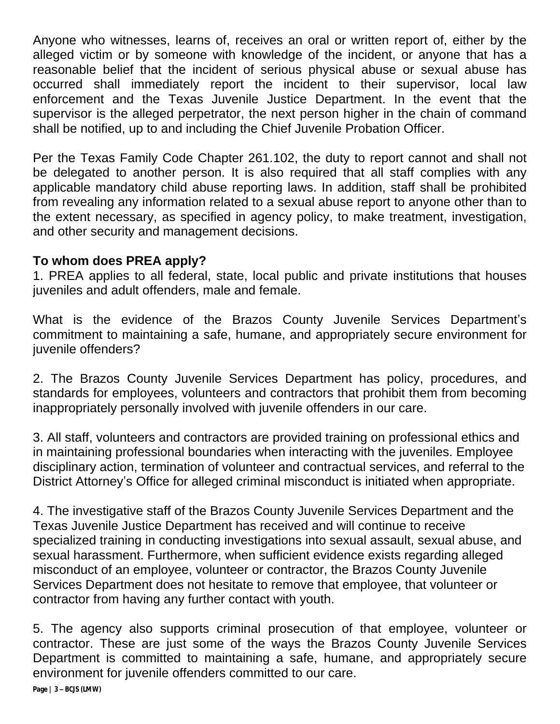Anyone who witnesses, learns of, receives an oral or written report of, either by the alleged victim or by someone with knowledge of the incident, or anyone that has a reasonable belief that the incident of serious physical abuse or sexual abuse has occurred shall immediately report the incident to their supervisor, local law enforcement and the Texas Juvenile Justice Department. In the event that the supervisor is the alleged perpetrator, the next person higher in the chain of command shall be notified, up to and including the Chief Juvenile Probation Officer.

Per the Texas Family Code Chapter 261.102, the duty to report cannot and shall not be delegated to another person. It is also required that all staff complies with any applicable mandatory child abuse reporting laws. In addition, staff shall be prohibited from revealing any information related to a sexual abuse report to anyone other than to the extent necessary, as specified in agency policy, to make treatment, investigation, and other security and management decisions.

# **To whom does PREA apply?**

1. PREA applies to all federal, state, local public and private institutions that houses juveniles and adult offenders, male and female.

What is the evidence of the Brazos County Juvenile Services Department's commitment to maintaining a safe, humane, and appropriately secure environment for juvenile offenders?

2. The Brazos County Juvenile Services Department has policy, procedures, and standards for employees, volunteers and contractors that prohibit them from becoming inappropriately personally involved with juvenile offenders in our care.

3. All staff, volunteers and contractors are provided training on professional ethics and in maintaining professional boundaries when interacting with the juveniles. Employee disciplinary action, termination of volunteer and contractual services, and referral to the District Attorney's Office for alleged criminal misconduct is initiated when appropriate.

4. The investigative staff of the Brazos County Juvenile Services Department and the Texas Juvenile Justice Department has received and will continue to receive specialized training in conducting investigations into sexual assault, sexual abuse, and sexual harassment. Furthermore, when sufficient evidence exists regarding alleged misconduct of an employee, volunteer or contractor, the Brazos County Juvenile Services Department does not hesitate to remove that employee, that volunteer or contractor from having any further contact with youth.

5. The agency also supports criminal prosecution of that employee, volunteer or contractor. These are just some of the ways the Brazos County Juvenile Services Department is committed to maintaining a safe, humane, and appropriately secure environment for juvenile offenders committed to our care.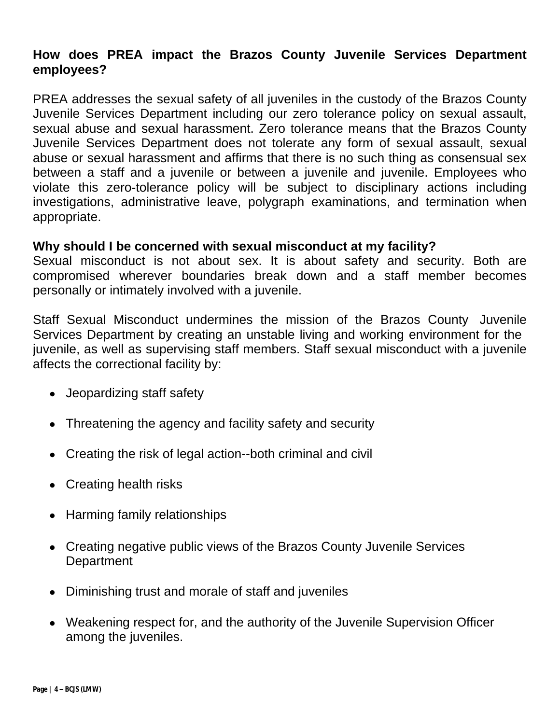# **How does PREA impact the Brazos County Juvenile Services Department employees?**

PREA addresses the sexual safety of all juveniles in the custody of the Brazos County Juvenile Services Department including our zero tolerance policy on sexual assault, sexual abuse and sexual harassment. Zero tolerance means that the Brazos County Juvenile Services Department does not tolerate any form of sexual assault, sexual abuse or sexual harassment and affirms that there is no such thing as consensual sex between a staff and a juvenile or between a juvenile and juvenile. Employees who violate this zero-tolerance policy will be subject to disciplinary actions including investigations, administrative leave, polygraph examinations, and termination when appropriate.

# **Why should I be concerned with sexual misconduct at my facility?**

Sexual misconduct is not about sex. It is about safety and security. Both are compromised wherever boundaries break down and a staff member becomes personally or intimately involved with a juvenile.

Staff Sexual Misconduct undermines the mission of the Brazos County Juvenile Services Department by creating an unstable living and working environment for the juvenile, as well as supervising staff members. Staff sexual misconduct with a juvenile affects the correctional facility by:

- Jeopardizing staff safety
- Threatening the agency and facility safety and security
- Creating the risk of legal action--both criminal and civil
- Creating health risks
- Harming family relationships
- Creating negative public views of the Brazos County Juvenile Services **Department**
- Diminishing trust and morale of staff and juveniles
- Weakening respect for, and the authority of the Juvenile Supervision Officer among the juveniles.